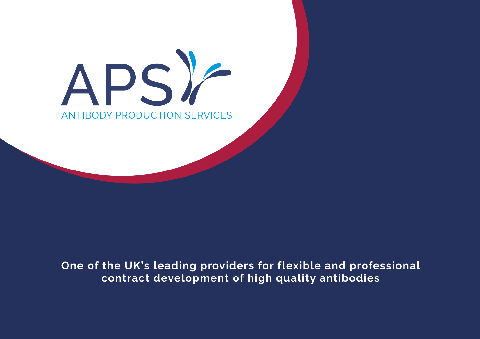# DS) **ANTIBODY PRODUCTION SERVICES**

## **One of the UK's leading providers for flexible and professional contract development of high quality antibodies**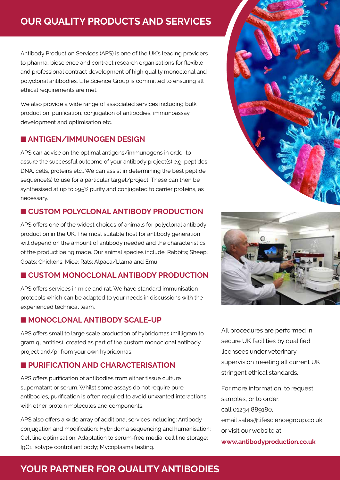# **Our Quality Products and Services**

Antibody Production Services (APS) is one of the UK's leading providers to pharma, bioscience and contract research organisations for flexible and professional contract development of high quality monoclonal and polyclonal antibodies. Life Science Group is committed to ensuring all ethical requirements are met.

We also provide a wide range of associated services including bulk production, purification, conjugation of antibodies, immunoassay development and optimisation etc.

#### n **ANTIGEN/IMMUNOGEN DESIGN**

APS can advise on the optimal antigens/immunogens in order to assure the successful outcome of your antibody project(s) e.g. peptides, DNA, cells, proteins etc.. We can assist in determining the best peptide sequence(s) to use for a particular target/project. These can then be synthesised at up to >95% purity and conjugated to carrier proteins, as necessary.

### n **Custom Polyclonal Antibody Production**

APS offers one of the widest choices of animals for polyclonal antibody production in the UK. The most suitable host for antibody generation will depend on the amount of antibody needed and the characteristics of the product being made. Our animal species include: Rabbits; Sheep; Goats; Chickens; Mice; Rats; Alpaca/Llama and Emu.

### $\blacksquare$  **CUSTOM MONOCLONAL ANTIBODY PRODUCTION**

APS offers services in mice and rat. We have standard immunisation protocols which can be adapted to your needs in discussions with the experienced technical team.

#### $MONOCLONAL ANTIBODY SCALE-UP$

APS offers small to large scale production of hybridomas (milligram to gram quantities) created as part of the custom monoclonal antibody project and/pr from your own hybridomas.

### $\blacksquare$  **PURIFICATION AND CHARACTERISATION**

APS offers purification of antibodies from either tissue culture supernatant or serum. Whilst some assays do not require pure antibodies, purification is often required to avoid unwanted interactions with other protein molecules and components.

APS also offers a wide array of additional services including: Antibody conjugation and modification; Hybridoma sequencing and humanisation; Cell line optimisation; Adaptation to serum-free media; cell line storage; IgG1 isotype control antibody; Mycoplasma testing.





All procedures are performed in secure UK facilities by qualified licensees under veterinary supervision meeting all current UK stringent ethical standards.

For more information, to request samples, or to order, call 01234 889180, email sales@lifesciencegroup.co.uk or visit our website at **www.antibodyproduction.co.uk**

# **YOUR PARTNER FOR QUALITY ANTIBODIES**